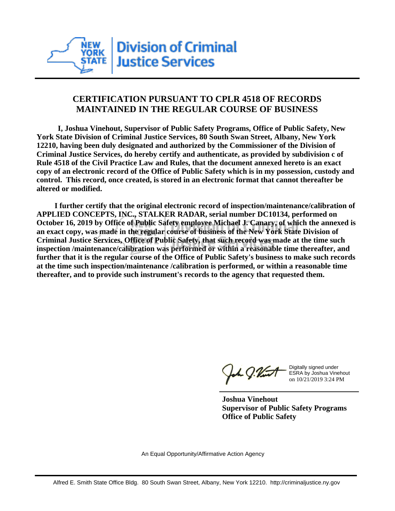

## **CERTIFICATION PURSUANT TO CPLR 4518 OF RECORDS MAINTAINED IN THE REGULAR COURSE OF BUSINESS**

 **I, Joshua Vinehout, Supervisor of Public Safety Programs, Office of Public Safety, New York State Division of Criminal Justice Services, 80 South Swan Street, Albany, New York 12210, having been duly designated and authorized by the Commissioner of the Division of Criminal Justice Services, do hereby certify and authenticate, as provided by subdivision c of Rule 4518 of the Civil Practice Law and Rules, that the document annexed hereto is an exact copy of an electronic record of the Office of Public Safety which is in my possession, custody and control. This record, once created, is stored in an electronic format that cannot thereafter be altered or modified.**

 **I further certify that the original electronic record of inspection/maintenance/calibration of APPLIED CONCEPTS, INC., STALKER RADAR, serial number DC10134, performed on October 16, 2019 by Office of Public Safety employee Michael J. Canary, of which the annexed is an exact copy, was made in the regular course of business of the New York State Division of Criminal Justice Services, Office of Public Safety, that such record was made at the time such inspection /maintenance/calibration was performed or within a reasonable time thereafter, and further that it is the regular course of the Office of Public Safety's business to make such records at the time such inspection/maintenance /calibration is performed, or within a reasonable time thereafter, and to provide such instrument's records to the agency that requested them.**

the g. Vint

Digitally signed under ESRA by Joshua Vinehout on 10/21/2019 3:24 PM

**Joshua Vinehout Supervisor of Public Safety Programs Office of Public Safety**

An Equal Opportunity/Affirmative Action Agency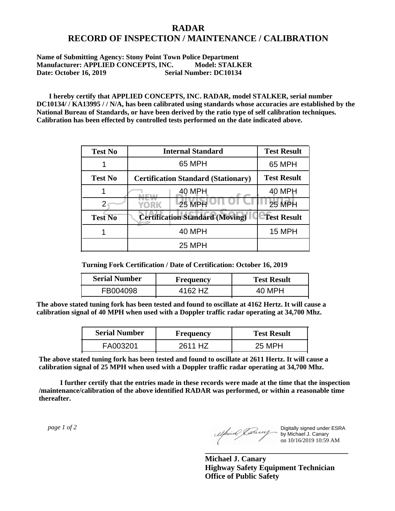## **RADAR RECORD OF INSPECTION / MAINTENANCE / CALIBRATION**

## **Name of Submitting Agency: Stony Point Town Police Department Manufacturer: APPLIED CONCEPTS, INC. Model: STALKER Date: October 16, 2019 Serial Number: DC10134**

 **I hereby certify that APPLIED CONCEPTS, INC. RADAR, model STALKER, serial number DC10134/ / KA13995 / / N/A, has been calibrated using standards whose accuracies are established by the National Bureau of Standards, or have been derived by the ratio type of self calibration techniques. Calibration has been effected by controlled tests performed on the date indicated above.**

| <b>Test No</b> | <b>Internal Standard</b>                   | <b>Test Result</b> |
|----------------|--------------------------------------------|--------------------|
|                | 65 MPH                                     | 65 MPH             |
| <b>Test No</b> | <b>Certification Standard (Stationary)</b> | <b>Test Result</b> |
|                | 40 MPH                                     | 40 MPH             |
|                | <b>25 MPH</b><br>YORK                      | <b>25 MPH</b>      |
| <b>Test No</b> | <b>Certification Standard (Moving)</b>     | <b>Test Result</b> |
|                | 40 MPH                                     | <b>15 MPH</b>      |
|                | 25 MPH                                     |                    |

**Turning Fork Certification / Date of Certification: October 16, 2019**

| <b>Serial Number</b> | <b>Frequency</b> | <b>Test Result</b> |
|----------------------|------------------|--------------------|
| FB004098             | 4162 HZ          | 40 MPH             |

**The above stated tuning fork has been tested and found to oscillate at 4162 Hertz. It will cause a calibration signal of 40 MPH when used with a Doppler traffic radar operating at 34,700 Mhz.**

| <b>Serial Number</b> | Frequency           | <b>Test Result</b> |
|----------------------|---------------------|--------------------|
| FA003201             | 2611 H <sub>7</sub> | 25 MPH             |

**The above stated tuning fork has been tested and found to oscillate at 2611 Hertz. It will cause a calibration signal of 25 MPH when used with a Doppler traffic radar operating at 34,700 Mhz.**

 **I further certify that the entries made in these records were made at the time that the inspection /maintenance/calibration of the above identified RADAR was performed, or within a reasonable time thereafter.**

 *page 1 of 2* 

Digitally signed under ESRA by Michael J. Canary on 10/16/2019 10:59 AM

**Michael J. Canary Highway Safety Equipment Technician Office of Public Safety**

**\_\_\_\_\_\_\_\_\_\_\_\_\_\_\_\_\_\_\_\_\_\_\_\_\_\_\_\_\_\_\_\_\_\_\_\_\_**